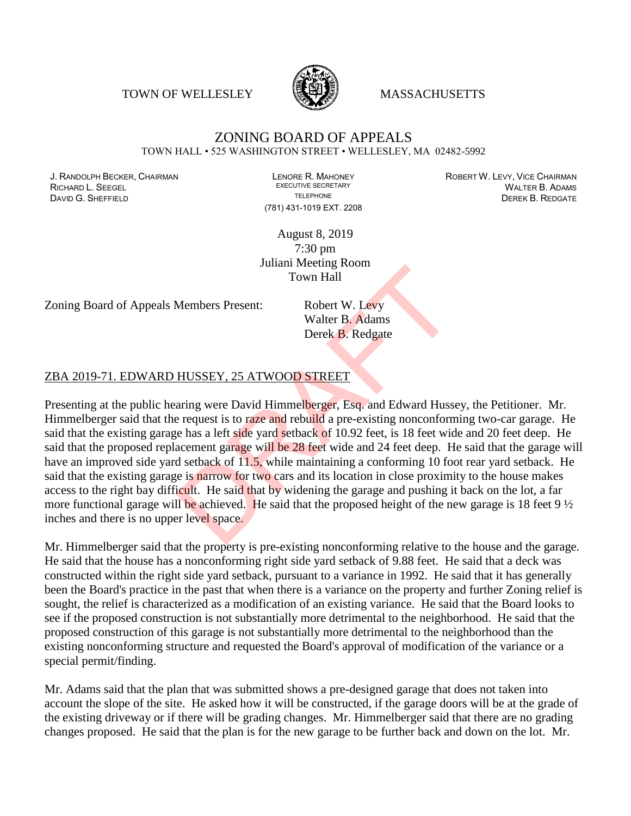TOWN OF WELLESLEY **WELLESLEY** MASSACHUSETTS



#### ZONING BOARD OF APPEALS TOWN HALL • 525 WASHINGTON STREET • WELLESLEY, MA 02482-5992

RICHARD L. SEEGEL EXECUTIVE SECRETARY FOR A CHARGE IN ALTER B. ADAMS<br>TELEPHONE TELEPHONE TELEPHONE TELEPHONE ANNO DESCRETARY DESCRETARY **DAVID G. SHEFFIELD SHEFFIELD SHEFFIELD TELEPHONE DEREK B. REDGATE** 

(781) 431-1019 EXT. 2208

J. RANDOLPH BECKER, CHAIRMAN LENORE R. MAHONEY LENORE R. MAHONEY ROBERT W. LEVY, VICE CHAIRMAN LEVER, ANALY RO<br>Richard L. Seegei (Mai ter R. Adams) Adams

August 8, 2019 7:30 pm Juliani Meeting Room Town Hall

Zoning Board of Appeals Members Present: Robert W. Levy

Walter B. Adams Derek B. Redgate

#### ZBA 2019-71. EDWARD HUSSEY, 25 ATWOOD STREET

Presenting at the public hearing were David Himmelberger, Esq. and Edward Hussey, the Petitioner. Mr. Himmelberger said that the request is to raze and rebuild a pre-existing nonconforming two-car garage. He said that the existing garage has a left side yard setback of 10.92 feet, is 18 feet wide and 20 feet deep. He said that the proposed replacement garage will be 28 feet wide and 24 feet deep. He said that the garage will have an improved side yard setback of 11.5, while maintaining a conforming 10 foot rear yard setback. He said that the existing garage is narrow for two cars and its location in close proximity to the house makes access to the right bay difficult. He said that by widening the garage and pushing it back on the lot, a far more functional garage will be achieved. He said that the proposed height of the new garage is 18 feet  $9\frac{1}{2}$ inches and there is no upper level space. Town Hall<br>
Members Present: Robert W. Levy<br>
Walter B. Adams<br>
Derek B. Redgate<br>
HUSSEY, 25 ATWOOD STREET<br>
aring were David Himmelberger, Esq. and Edward Husse<br>
request is to raze and rebuild a pre-existing nonconform<br>
re ha

Mr. Himmelberger said that the property is pre-existing nonconforming relative to the house and the garage. He said that the house has a nonconforming right side yard setback of 9.88 feet. He said that a deck was constructed within the right side yard setback, pursuant to a variance in 1992. He said that it has generally been the Board's practice in the past that when there is a variance on the property and further Zoning relief is sought, the relief is characterized as a modification of an existing variance. He said that the Board looks to see if the proposed construction is not substantially more detrimental to the neighborhood. He said that the proposed construction of this garage is not substantially more detrimental to the neighborhood than the existing nonconforming structure and requested the Board's approval of modification of the variance or a special permit/finding.

Mr. Adams said that the plan that was submitted shows a pre-designed garage that does not taken into account the slope of the site. He asked how it will be constructed, if the garage doors will be at the grade of the existing driveway or if there will be grading changes. Mr. Himmelberger said that there are no grading changes proposed. He said that the plan is for the new garage to be further back and down on the lot. Mr.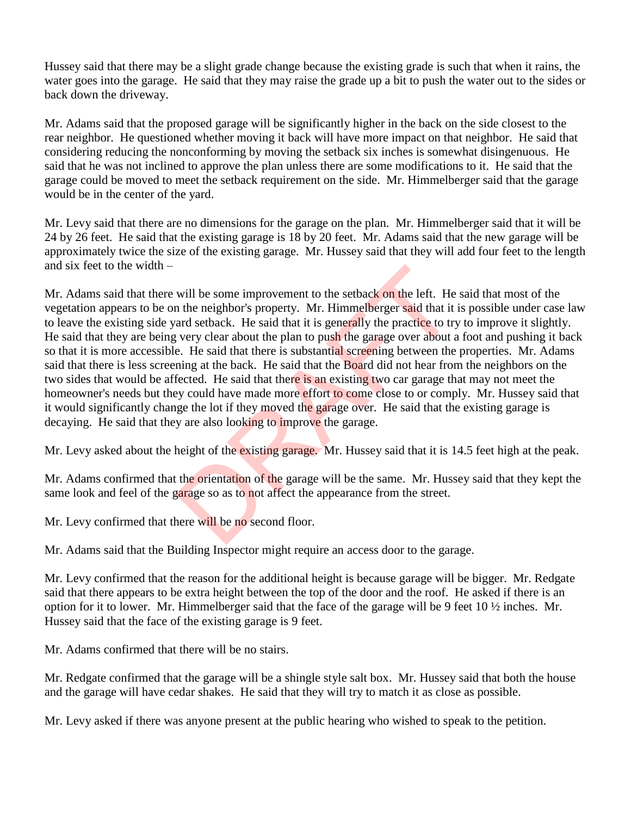Hussey said that there may be a slight grade change because the existing grade is such that when it rains, the water goes into the garage. He said that they may raise the grade up a bit to push the water out to the sides or back down the driveway.

Mr. Adams said that the proposed garage will be significantly higher in the back on the side closest to the rear neighbor. He questioned whether moving it back will have more impact on that neighbor. He said that considering reducing the nonconforming by moving the setback six inches is somewhat disingenuous. He said that he was not inclined to approve the plan unless there are some modifications to it. He said that the garage could be moved to meet the setback requirement on the side. Mr. Himmelberger said that the garage would be in the center of the yard.

Mr. Levy said that there are no dimensions for the garage on the plan. Mr. Himmelberger said that it will be 24 by 26 feet. He said that the existing garage is 18 by 20 feet. Mr. Adams said that the new garage will be approximately twice the size of the existing garage. Mr. Hussey said that they will add four feet to the length and six feet to the width –

Mr. Adams said that there will be some improvement to the setback on the left. He said that most of the vegetation appears to be on the neighbor's property. Mr. Himmelberger said that it is possible under case law to leave the existing side yard setback. He said that it is generally the practice to try to improve it slightly. He said that they are being very clear about the plan to push the garage over about a foot and pushing it back so that it is more accessible. He said that there is substantial screening between the properties. Mr. Adams said that there is less screening at the back. He said that the **Board** did not hear from the neighbors on the two sides that would be affected. He said that there is an existing two car garage that may not meet the homeowner's needs but they could have made more effort to come close to or comply. Mr. Hussey said that it would significantly change the lot if they moved the garage over. He said that the existing garage is decaying. He said that they are also looking to improve the garage. will be some improvement to the setback on the left. He<br>a the neighbor's property. Mr. Himmelberger said that it<br>ard setback. He said that it is generally the practice to try<br>e. He said that there is substantial screening

Mr. Levy asked about the height of the existing garage. Mr. Hussey said that it is 14.5 feet high at the peak.

Mr. Adams confirmed that the orientation of the garage will be the same. Mr. Hussey said that they kept the same look and feel of the garage so as to not affect the appearance from the street.

Mr. Levy confirmed that there will be no second floor.

Mr. Adams said that the Building Inspector might require an access door to the garage.

Mr. Levy confirmed that the reason for the additional height is because garage will be bigger. Mr. Redgate said that there appears to be extra height between the top of the door and the roof. He asked if there is an option for it to lower. Mr. Himmelberger said that the face of the garage will be 9 feet 10 ½ inches. Mr. Hussey said that the face of the existing garage is 9 feet.

Mr. Adams confirmed that there will be no stairs.

Mr. Redgate confirmed that the garage will be a shingle style salt box. Mr. Hussey said that both the house and the garage will have cedar shakes. He said that they will try to match it as close as possible.

Mr. Levy asked if there was anyone present at the public hearing who wished to speak to the petition.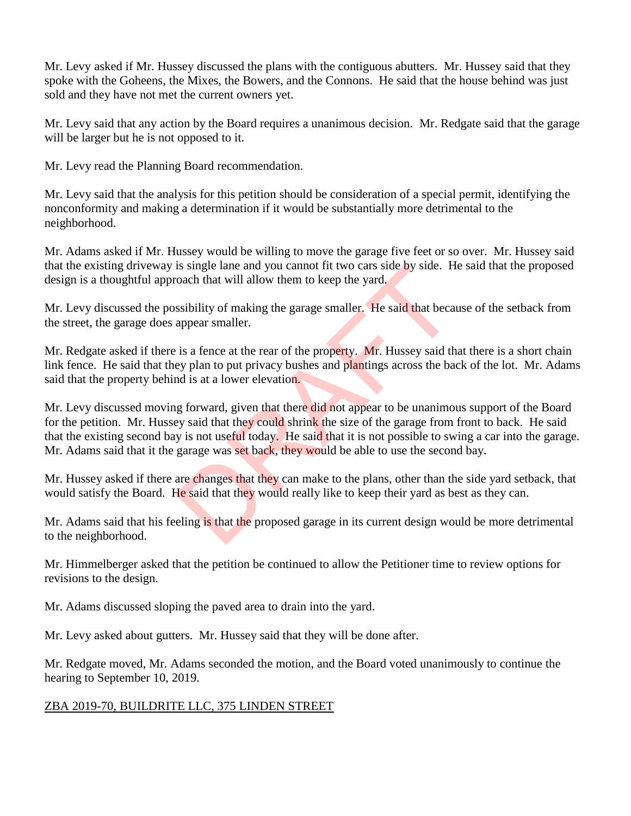Mr. Levy asked if Mr. Hussey discussed the plans with the contiguous abutters. Mr. Hussey said that they spoke with the Goheens, the Mixes, the Bowers, and the Connons. He said that the house behind was just sold and they have not met the current owners yet.

Mr. Levy said that any action by the Board requires a unanimous decision. Mr. Redgate said that the garage will be larger but he is not opposed to it.

Mr. Levy read the Planning Board recommendation.

Mr. Levy said that the analysis for this petition should be consideration of a special permit, identifying the nonconformity and making a determination if it would be substantially more detrimental to the neighborhood.

Mr. Adams asked if Mr. Hussey would be willing to move the garage five feet or so over. Mr. Hussey said that the existing driveway is single lane and you cannot fit two cars side by side. He said that the proposed design is a thoughtful approach that will allow them to keep the yard.

Mr. Levy discussed the possibility of making the garage smaller. He said that because of the setback from the street, the garage does appear smaller.

Mr. Redgate asked if there is a fence at the rear of the property. Mr. Hussey said that there is a short chain link fence. He said that they plan to put privacy bushes and plantings across the back of the lot. Mr. Adams said that the property behind is at a lower elevation.

Mr. Levy discussed moving forward, given that there did not appear to be unanimous support of the Board for the petition. Mr. Hussey said that they could shrink the size of the garage from front to back. He said that the existing second bay is not useful today. He said that it is not possible to swing a car into the garage. Mr. Adams said that it the garage was set back, they would be able to use the second bay. Is single lane and you cannot fit two cars side by side. Hot of that will allow them to keep the yard.<br>
saibility of making the garage smaller. He said that beca<br>
appear smaller.<br>
is a fence at the rear of the property. Mr

Mr. Hussey asked if there are changes that they can make to the plans, other than the side yard setback, that would satisfy the Board. He said that they would really like to keep their yard as best as they can.

Mr. Adams said that his feeling is that the proposed garage in its current design would be more detrimental to the neighborhood.

Mr. Himmelberger asked that the petition be continued to allow the Petitioner time to review options for revisions to the design.

Mr. Adams discussed sloping the paved area to drain into the yard.

Mr. Levy asked about gutters. Mr. Hussey said that they will be done after.

Mr. Redgate moved, Mr. Adams seconded the motion, and the Board voted unanimously to continue the hearing to September 10, 2019.

# ZBA 2019-70, BUILDRITE LLC, 375 LINDEN STREET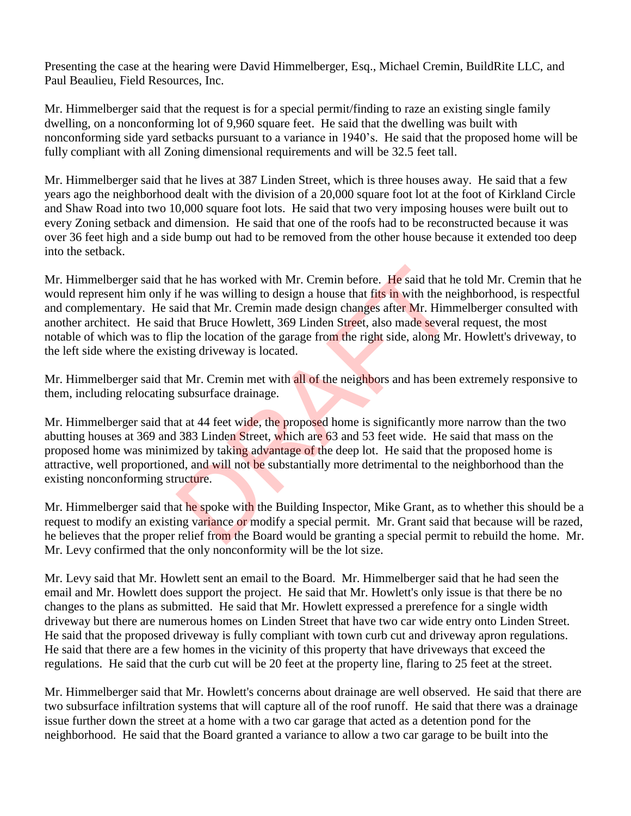Presenting the case at the hearing were David Himmelberger, Esq., Michael Cremin, BuildRite LLC, and Paul Beaulieu, Field Resources, Inc.

Mr. Himmelberger said that the request is for a special permit/finding to raze an existing single family dwelling, on a nonconforming lot of 9,960 square feet. He said that the dwelling was built with nonconforming side yard setbacks pursuant to a variance in 1940's. He said that the proposed home will be fully compliant with all Zoning dimensional requirements and will be 32.5 feet tall.

Mr. Himmelberger said that he lives at 387 Linden Street, which is three houses away. He said that a few years ago the neighborhood dealt with the division of a 20,000 square foot lot at the foot of Kirkland Circle and Shaw Road into two 10,000 square foot lots. He said that two very imposing houses were built out to every Zoning setback and dimension. He said that one of the roofs had to be reconstructed because it was over 36 feet high and a side bump out had to be removed from the other house because it extended too deep into the setback.

Mr. Himmelberger said that he has worked with Mr. Cremin before. He said that he told Mr. Cremin that he would represent him only if he was willing to design a house that fits in with the neighborhood, is respectful and complementary. He said that Mr. Cremin made design changes after Mr. Himmelberger consulted with another architect. He said that Bruce Howlett, 369 Linden Street, also made several request, the most notable of which was to flip the location of the garage from the right side, along Mr. Howlett's driveway, to the left side where the existing driveway is located. at he has worked with Mr. Cremin before. He said that hist in was willing to design a house that fits in with the ne and that Mr. Cremin made design changes after Mr. Him that Bruce Howlett, 369 Linden Street, also made se

Mr. Himmelberger said that Mr. Cremin met with all of the neighbors and has been extremely responsive to them, including relocating subsurface drainage.

Mr. Himmelberger said that at 44 feet wide, the proposed home is significantly more narrow than the two abutting houses at 369 and 383 Linden Street, which are 63 and 53 feet wide. He said that mass on the proposed home was minimized by taking advantage of the deep lot. He said that the proposed home is attractive, well proportioned, and will not be substantially more detrimental to the neighborhood than the existing nonconforming structure.

Mr. Himmelberger said that he spoke with the Building Inspector, Mike Grant, as to whether this should be a request to modify an existing variance or modify a special permit. Mr. Grant said that because will be razed, he believes that the proper relief from the Board would be granting a special permit to rebuild the home. Mr. Mr. Levy confirmed that the only nonconformity will be the lot size.

Mr. Levy said that Mr. Howlett sent an email to the Board. Mr. Himmelberger said that he had seen the email and Mr. Howlett does support the project. He said that Mr. Howlett's only issue is that there be no changes to the plans as submitted. He said that Mr. Howlett expressed a prerefence for a single width driveway but there are numerous homes on Linden Street that have two car wide entry onto Linden Street. He said that the proposed driveway is fully compliant with town curb cut and driveway apron regulations. He said that there are a few homes in the vicinity of this property that have driveways that exceed the regulations. He said that the curb cut will be 20 feet at the property line, flaring to 25 feet at the street.

Mr. Himmelberger said that Mr. Howlett's concerns about drainage are well observed. He said that there are two subsurface infiltration systems that will capture all of the roof runoff. He said that there was a drainage issue further down the street at a home with a two car garage that acted as a detention pond for the neighborhood. He said that the Board granted a variance to allow a two car garage to be built into the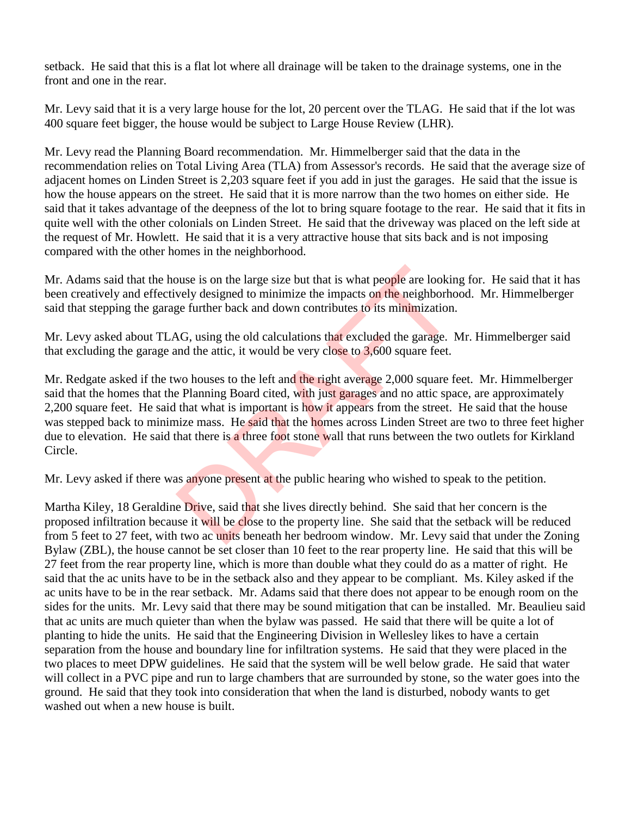setback. He said that this is a flat lot where all drainage will be taken to the drainage systems, one in the front and one in the rear.

Mr. Levy said that it is a very large house for the lot, 20 percent over the TLAG. He said that if the lot was 400 square feet bigger, the house would be subject to Large House Review (LHR).

Mr. Levy read the Planning Board recommendation. Mr. Himmelberger said that the data in the recommendation relies on Total Living Area (TLA) from Assessor's records. He said that the average size of adjacent homes on Linden Street is 2,203 square feet if you add in just the garages. He said that the issue is how the house appears on the street. He said that it is more narrow than the two homes on either side. He said that it takes advantage of the deepness of the lot to bring square footage to the rear. He said that it fits in quite well with the other colonials on Linden Street. He said that the driveway was placed on the left side at the request of Mr. Howlett. He said that it is a very attractive house that sits back and is not imposing compared with the other homes in the neighborhood.

Mr. Adams said that the house is on the large size but that is what people are looking for. He said that it has been creatively and effectively designed to minimize the impacts on the neighborhood. Mr. Himmelberger said that stepping the garage further back and down contributes to its minimization.

Mr. Levy asked about TLAG, using the old calculations that excluded the garage. Mr. Himmelberger said that excluding the garage and the attic, it would be very close to  $3,600$  square feet.

Mr. Redgate asked if the two houses to the left and the right average 2,000 square feet. Mr. Himmelberger said that the homes that the Planning Board cited, with just garages and no attic space, are approximately 2,200 square feet. He said that what is important is how it appears from the street. He said that the house was stepped back to minimize mass. He said that the homes across Linden Street are two to three feet higher due to elevation. He said that there is a three foot stone wall that runs between the two outlets for Kirkland Circle. buse is on the large size but that is what people are lookincy wely designed to minimize the impacts on the neighborhome further back and down contributes to its minimization.<br>AG, using the old calculations that excluded t

Mr. Levy asked if there was anyone present at the public hearing who wished to speak to the petition.

Martha Kiley, 18 Geraldine Drive, said that she lives directly behind. She said that her concern is the proposed infiltration because it will be close to the property line. She said that the setback will be reduced from 5 feet to 27 feet, with two ac units beneath her bedroom window. Mr. Levy said that under the Zoning Bylaw (ZBL), the house cannot be set closer than 10 feet to the rear property line. He said that this will be 27 feet from the rear property line, which is more than double what they could do as a matter of right. He said that the ac units have to be in the setback also and they appear to be compliant. Ms. Kiley asked if the ac units have to be in the rear setback. Mr. Adams said that there does not appear to be enough room on the sides for the units. Mr. Levy said that there may be sound mitigation that can be installed. Mr. Beaulieu said that ac units are much quieter than when the bylaw was passed. He said that there will be quite a lot of planting to hide the units. He said that the Engineering Division in Wellesley likes to have a certain separation from the house and boundary line for infiltration systems. He said that they were placed in the two places to meet DPW guidelines. He said that the system will be well below grade. He said that water will collect in a PVC pipe and run to large chambers that are surrounded by stone, so the water goes into the ground. He said that they took into consideration that when the land is disturbed, nobody wants to get washed out when a new house is built.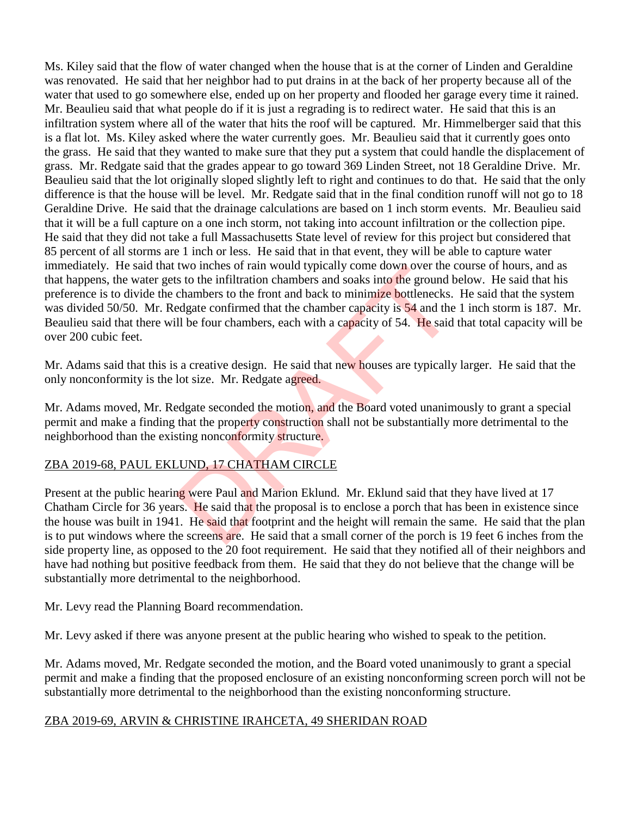Ms. Kiley said that the flow of water changed when the house that is at the corner of Linden and Geraldine was renovated. He said that her neighbor had to put drains in at the back of her property because all of the water that used to go somewhere else, ended up on her property and flooded her garage every time it rained. Mr. Beaulieu said that what people do if it is just a regrading is to redirect water. He said that this is an infiltration system where all of the water that hits the roof will be captured. Mr. Himmelberger said that this is a flat lot. Ms. Kiley asked where the water currently goes. Mr. Beaulieu said that it currently goes onto the grass. He said that they wanted to make sure that they put a system that could handle the displacement of grass. Mr. Redgate said that the grades appear to go toward 369 Linden Street, not 18 Geraldine Drive. Mr. Beaulieu said that the lot originally sloped slightly left to right and continues to do that. He said that the only difference is that the house will be level. Mr. Redgate said that in the final condition runoff will not go to 18 Geraldine Drive. He said that the drainage calculations are based on 1 inch storm events. Mr. Beaulieu said that it will be a full capture on a one inch storm, not taking into account infiltration or the collection pipe. He said that they did not take a full Massachusetts State level of review for this project but considered that 85 percent of all storms are 1 inch or less. He said that in that event, they will be able to capture water immediately. He said that two inches of rain would typically come down over the course of hours, and as that happens, the water gets to the infiltration chambers and soaks into the ground below. He said that his preference is to divide the chambers to the front and back to minimize bottlenecks. He said that the system was divided 50/50. Mr. Redgate confirmed that the chamber capacity is 54 and the 1 inch storm is 187. Mr. Beaulieu said that there will be four chambers, each with a capacity of 54. He said that total capacity will be over 200 cubic feet. two incidents of rain would typically come down over the case to the infiltration chambers and soaks into the ground behambers to the front and back to minimize bottlenecks.<br>Edgate confirmed that the chamber capacity is 54

Mr. Adams said that this is a creative design. He said that new houses are typically larger. He said that the only nonconformity is the lot size. Mr. Redgate agreed.

Mr. Adams moved, Mr. Redgate seconded the motion, and the Board voted unanimously to grant a special permit and make a finding that the property construction shall not be substantially more detrimental to the neighborhood than the existing nonconformity structure.

# ZBA 2019-68, PAUL EKLUND, 17 CHATHAM CIRCLE

Present at the public hearing were Paul and Marion Eklund. Mr. Eklund said that they have lived at 17 Chatham Circle for 36 years. He said that the proposal is to enclose a porch that has been in existence since the house was built in 1941. He said that footprint and the height will remain the same. He said that the plan is to put windows where the screens are. He said that a small corner of the porch is 19 feet 6 inches from the side property line, as opposed to the 20 foot requirement. He said that they notified all of their neighbors and have had nothing but positive feedback from them. He said that they do not believe that the change will be substantially more detrimental to the neighborhood.

Mr. Levy read the Planning Board recommendation.

Mr. Levy asked if there was anyone present at the public hearing who wished to speak to the petition.

Mr. Adams moved, Mr. Redgate seconded the motion, and the Board voted unanimously to grant a special permit and make a finding that the proposed enclosure of an existing nonconforming screen porch will not be substantially more detrimental to the neighborhood than the existing nonconforming structure.

## ZBA 2019-69, ARVIN & CHRISTINE IRAHCETA, 49 SHERIDAN ROAD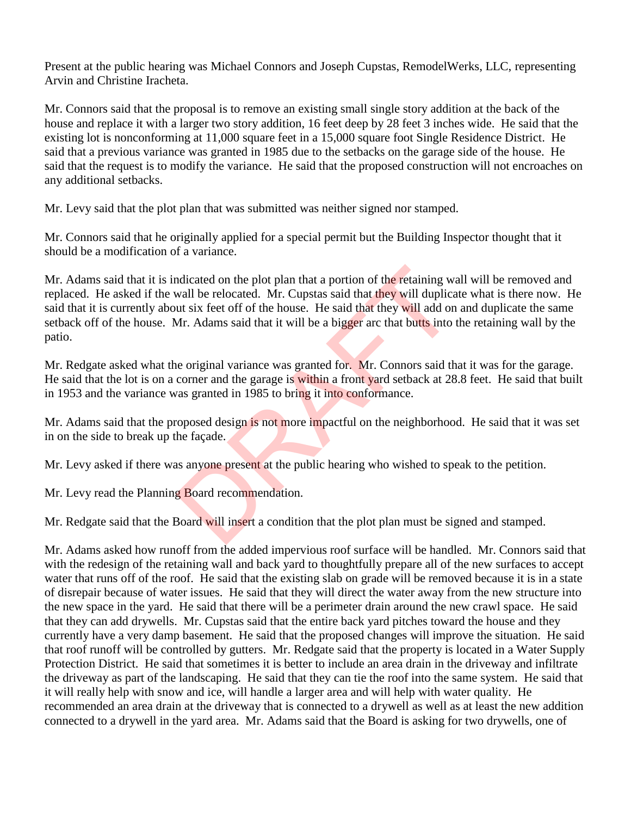Present at the public hearing was Michael Connors and Joseph Cupstas, RemodelWerks, LLC, representing Arvin and Christine Iracheta.

Mr. Connors said that the proposal is to remove an existing small single story addition at the back of the house and replace it with a larger two story addition, 16 feet deep by 28 feet 3 inches wide. He said that the existing lot is nonconforming at 11,000 square feet in a 15,000 square foot Single Residence District. He said that a previous variance was granted in 1985 due to the setbacks on the garage side of the house. He said that the request is to modify the variance. He said that the proposed construction will not encroaches on any additional setbacks.

Mr. Levy said that the plot plan that was submitted was neither signed nor stamped.

Mr. Connors said that he originally applied for a special permit but the Building Inspector thought that it should be a modification of a variance.

Mr. Adams said that it is indicated on the plot plan that a portion of the retaining wall will be removed and replaced. He asked if the wall be relocated. Mr. Cupstas said that they will duplicate what is there now. He said that it is currently about six feet off of the house. He said that they will add on and duplicate the same setback off of the house. Mr. Adams said that it will be a bigger arc that butts into the retaining wall by the patio. ndicated on the plot plan that a portion of the retaining wordll be relocated. Mr. Cupstas said that they will duplicate us ix feet off of the house. He said that they will add on Mr. Adams said that it will be a bigger ar

Mr. Redgate asked what the original variance was granted for. Mr. Connors said that it was for the garage. He said that the lot is on a corner and the garage is within a front yard setback at 28.8 feet. He said that built in 1953 and the variance was granted in 1985 to bring it into conformance.

Mr. Adams said that the proposed design is not more impactful on the neighborhood. He said that it was set in on the side to break up the façade.

Mr. Levy asked if there was anyone present at the public hearing who wished to speak to the petition.

Mr. Levy read the Planning Board recommendation.

Mr. Redgate said that the Board will insert a condition that the plot plan must be signed and stamped.

Mr. Adams asked how runoff from the added impervious roof surface will be handled. Mr. Connors said that with the redesign of the retaining wall and back yard to thoughtfully prepare all of the new surfaces to accept water that runs off of the roof. He said that the existing slab on grade will be removed because it is in a state of disrepair because of water issues. He said that they will direct the water away from the new structure into the new space in the yard. He said that there will be a perimeter drain around the new crawl space. He said that they can add drywells. Mr. Cupstas said that the entire back yard pitches toward the house and they currently have a very damp basement. He said that the proposed changes will improve the situation. He said that roof runoff will be controlled by gutters. Mr. Redgate said that the property is located in a Water Supply Protection District. He said that sometimes it is better to include an area drain in the driveway and infiltrate the driveway as part of the landscaping. He said that they can tie the roof into the same system. He said that it will really help with snow and ice, will handle a larger area and will help with water quality. He recommended an area drain at the driveway that is connected to a drywell as well as at least the new addition connected to a drywell in the yard area. Mr. Adams said that the Board is asking for two drywells, one of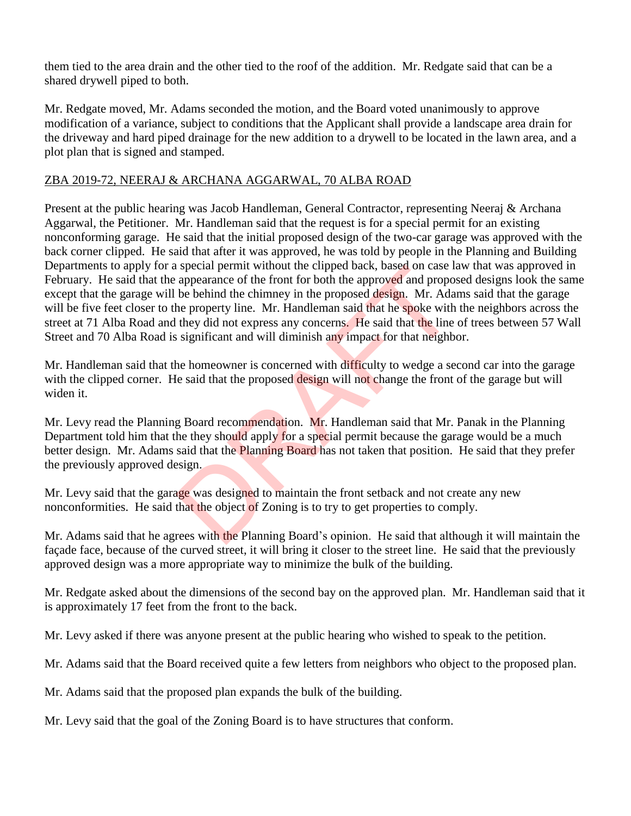them tied to the area drain and the other tied to the roof of the addition. Mr. Redgate said that can be a shared drywell piped to both.

Mr. Redgate moved, Mr. Adams seconded the motion, and the Board voted unanimously to approve modification of a variance, subject to conditions that the Applicant shall provide a landscape area drain for the driveway and hard piped drainage for the new addition to a drywell to be located in the lawn area, and a plot plan that is signed and stamped.

## ZBA 2019-72, NEERAJ & ARCHANA AGGARWAL, 70 ALBA ROAD

Present at the public hearing was Jacob Handleman, General Contractor, representing Neeraj & Archana Aggarwal, the Petitioner. Mr. Handleman said that the request is for a special permit for an existing nonconforming garage. He said that the initial proposed design of the two-car garage was approved with the back corner clipped. He said that after it was approved, he was told by people in the Planning and Building Departments to apply for a special permit without the clipped back, based on case law that was approved in February. He said that the appearance of the front for both the approved and proposed designs look the same except that the garage will be behind the chimney in the proposed design. Mr. Adams said that the garage will be five feet closer to the property line. Mr. Handleman said that he spoke with the neighbors across the street at 71 Alba Road and they did not express any concerns. He said that the line of trees between 57 Wall Street and 70 Alba Road is significant and will diminish any impact for that neighbor. special permit without the clipped back, based on case if appearance of the front for both the approved and propo<br>be behind the chimney in the proposed design. Mr. Ada<br>he property line. Mr. Handleman said that he spoke wit

Mr. Handleman said that the homeowner is concerned with difficulty to wedge a second car into the garage with the clipped corner. He said that the proposed design will not change the front of the garage but will widen it.

Mr. Levy read the Planning Board recommendation. Mr. Handleman said that Mr. Panak in the Planning Department told him that the they should apply for a special permit because the garage would be a much better design. Mr. Adams said that the **Planning Board** has not taken that position. He said that they prefer the previously approved design.

Mr. Levy said that the garage was designed to maintain the front setback and not create any new nonconformities. He said that the object of Zoning is to try to get properties to comply.

Mr. Adams said that he agrees with the Planning Board's opinion. He said that although it will maintain the façade face, because of the curved street, it will bring it closer to the street line. He said that the previously approved design was a more appropriate way to minimize the bulk of the building.

Mr. Redgate asked about the dimensions of the second bay on the approved plan. Mr. Handleman said that it is approximately 17 feet from the front to the back.

Mr. Levy asked if there was anyone present at the public hearing who wished to speak to the petition.

Mr. Adams said that the Board received quite a few letters from neighbors who object to the proposed plan.

Mr. Adams said that the proposed plan expands the bulk of the building.

Mr. Levy said that the goal of the Zoning Board is to have structures that conform.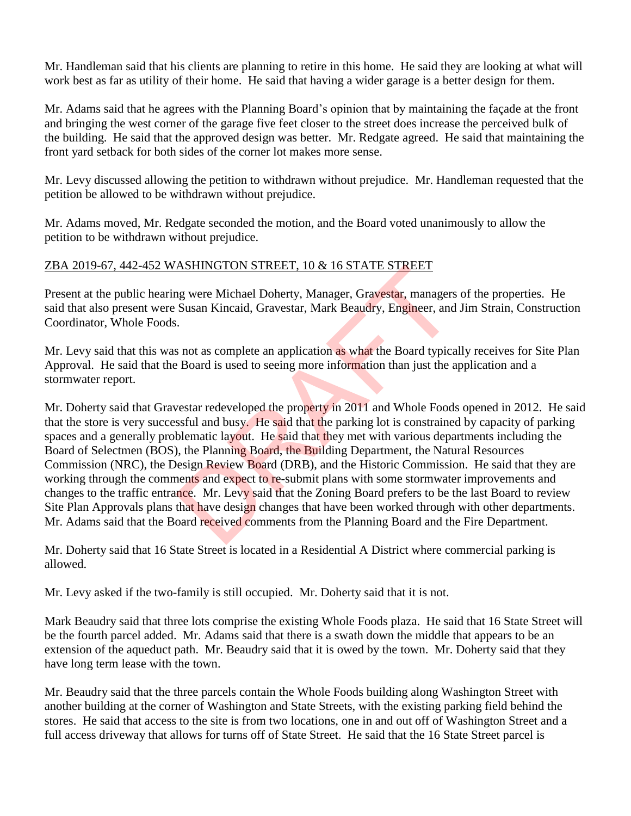Mr. Handleman said that his clients are planning to retire in this home. He said they are looking at what will work best as far as utility of their home. He said that having a wider garage is a better design for them.

Mr. Adams said that he agrees with the Planning Board's opinion that by maintaining the façade at the front and bringing the west corner of the garage five feet closer to the street does increase the perceived bulk of the building. He said that the approved design was better. Mr. Redgate agreed. He said that maintaining the front yard setback for both sides of the corner lot makes more sense.

Mr. Levy discussed allowing the petition to withdrawn without prejudice. Mr. Handleman requested that the petition be allowed to be withdrawn without prejudice.

Mr. Adams moved, Mr. Redgate seconded the motion, and the Board voted unanimously to allow the petition to be withdrawn without prejudice.

## ZBA 2019-67, 442-452 WASHINGTON STREET, 10 & 16 STATE STREET

Present at the public hearing were Michael Doherty, Manager, Gravestar, managers of the properties. He said that also present were Susan Kincaid, Gravestar, Mark Beaudry, Engineer, and Jim Strain, Construction Coordinator, Whole Foods.

Mr. Levy said that this was not as complete an application as what the Board typically receives for Site Plan Approval. He said that the Board is used to seeing more information than just the application and a stormwater report.

Mr. Doherty said that Gravestar redeveloped the property in 2011 and Whole Foods opened in 2012. He said that the store is very successful and busy. He said that the parking lot is constrained by capacity of parking spaces and a generally problematic layout. He said that they met with various departments including the Board of Selectmen (BOS), the Planning Board, the Building Department, the Natural Resources Commission (NRC), the Design Review Board (DRB), and the Historic Commission. He said that they are working through the comments and expect to re-submit plans with some stormwater improvements and changes to the traffic entrance. Mr. Levy said that the Zoning Board prefers to be the last Board to review Site Plan Approvals plans that have design changes that have been worked through with other departments. Mr. Adams said that the Board received comments from the Planning Board and the Fire Department. **EXECUTE:** A 10 & 16 STATE STREET<br>Ing were Michael Doherty, Manager, Gravestar, managers<br>Susan Kincaid, Gravestar, Mark Beaudry, Engineer, and<br>i.<br>Susan Kincaid, Gravestar, Mark Beaudry, Engineer, and<br>i.<br>Board is used to se

Mr. Doherty said that 16 State Street is located in a Residential A District where commercial parking is allowed.

Mr. Levy asked if the two-family is still occupied. Mr. Doherty said that it is not.

Mark Beaudry said that three lots comprise the existing Whole Foods plaza. He said that 16 State Street will be the fourth parcel added. Mr. Adams said that there is a swath down the middle that appears to be an extension of the aqueduct path. Mr. Beaudry said that it is owed by the town. Mr. Doherty said that they have long term lease with the town.

Mr. Beaudry said that the three parcels contain the Whole Foods building along Washington Street with another building at the corner of Washington and State Streets, with the existing parking field behind the stores. He said that access to the site is from two locations, one in and out off of Washington Street and a full access driveway that allows for turns off of State Street. He said that the 16 State Street parcel is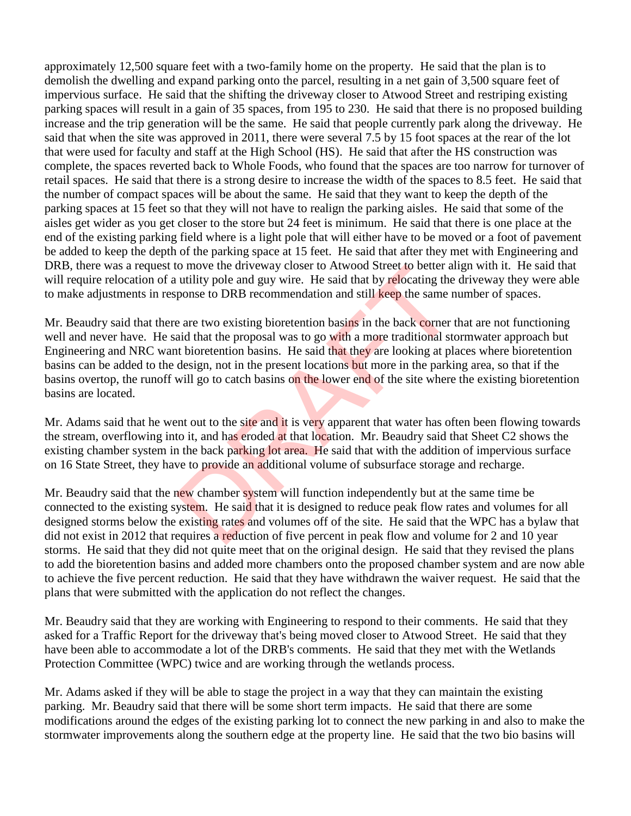approximately 12,500 square feet with a two-family home on the property. He said that the plan is to demolish the dwelling and expand parking onto the parcel, resulting in a net gain of 3,500 square feet of impervious surface. He said that the shifting the driveway closer to Atwood Street and restriping existing parking spaces will result in a gain of 35 spaces, from 195 to 230. He said that there is no proposed building increase and the trip generation will be the same. He said that people currently park along the driveway. He said that when the site was approved in 2011, there were several 7.5 by 15 foot spaces at the rear of the lot that were used for faculty and staff at the High School (HS). He said that after the HS construction was complete, the spaces reverted back to Whole Foods, who found that the spaces are too narrow for turnover of retail spaces. He said that there is a strong desire to increase the width of the spaces to 8.5 feet. He said that the number of compact spaces will be about the same. He said that they want to keep the depth of the parking spaces at 15 feet so that they will not have to realign the parking aisles. He said that some of the aisles get wider as you get closer to the store but 24 feet is minimum. He said that there is one place at the end of the existing parking field where is a light pole that will either have to be moved or a foot of pavement be added to keep the depth of the parking space at 15 feet. He said that after they met with Engineering and DRB, there was a request to move the driveway closer to Atwood Street to better align with it. He said that will require relocation of a utility pole and guy wire. He said that by relocating the driveway they were able to make adjustments in response to DRB recommendation and still keep the same number of spaces.

Mr. Beaudry said that there are two existing bioretention basing in the back corner that are not functioning well and never have. He said that the proposal was to go with a more traditional stormwater approach but Engineering and NRC want bioretention basins. He said that they are looking at places where bioretention basins can be added to the design, not in the present locations but more in the parking area, so that if the basins overtop, the runoff will go to catch basins on the lower end of the site where the existing bioretention basins are located. To move the diveway closer to Atwood Street to better all utility pole and guy wire. He said that by relocating the ponse to DRB recommendation and still keep the same n e are two existing bioretention basins in the back c

Mr. Adams said that he went out to the site and it is very apparent that water has often been flowing towards the stream, overflowing into it, and has eroded at that location. Mr. Beaudry said that Sheet C2 shows the existing chamber system in the back parking lot area. He said that with the addition of impervious surface on 16 State Street, they have to provide an additional volume of subsurface storage and recharge.

Mr. Beaudry said that the new chamber system will function independently but at the same time be connected to the existing system. He said that it is designed to reduce peak flow rates and volumes for all designed storms below the existing rates and volumes off of the site. He said that the WPC has a bylaw that did not exist in 2012 that requires a reduction of five percent in peak flow and volume for 2 and 10 year storms. He said that they did not quite meet that on the original design. He said that they revised the plans to add the bioretention basins and added more chambers onto the proposed chamber system and are now able to achieve the five percent reduction. He said that they have withdrawn the waiver request. He said that the plans that were submitted with the application do not reflect the changes.

Mr. Beaudry said that they are working with Engineering to respond to their comments. He said that they asked for a Traffic Report for the driveway that's being moved closer to Atwood Street. He said that they have been able to accommodate a lot of the DRB's comments. He said that they met with the Wetlands Protection Committee (WPC) twice and are working through the wetlands process.

Mr. Adams asked if they will be able to stage the project in a way that they can maintain the existing parking. Mr. Beaudry said that there will be some short term impacts. He said that there are some modifications around the edges of the existing parking lot to connect the new parking in and also to make the stormwater improvements along the southern edge at the property line. He said that the two bio basins will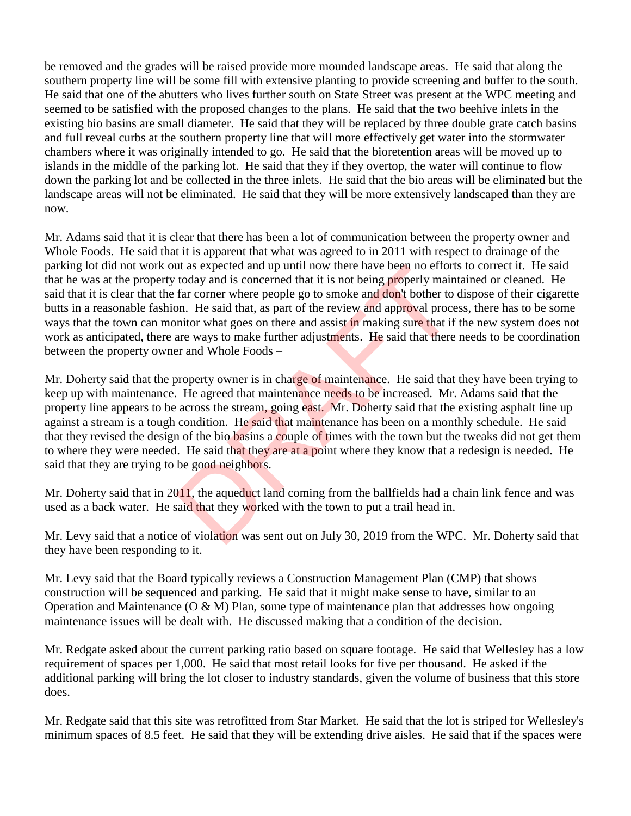be removed and the grades will be raised provide more mounded landscape areas. He said that along the southern property line will be some fill with extensive planting to provide screening and buffer to the south. He said that one of the abutters who lives further south on State Street was present at the WPC meeting and seemed to be satisfied with the proposed changes to the plans. He said that the two beehive inlets in the existing bio basins are small diameter. He said that they will be replaced by three double grate catch basins and full reveal curbs at the southern property line that will more effectively get water into the stormwater chambers where it was originally intended to go. He said that the bioretention areas will be moved up to islands in the middle of the parking lot. He said that they if they overtop, the water will continue to flow down the parking lot and be collected in the three inlets. He said that the bio areas will be eliminated but the landscape areas will not be eliminated. He said that they will be more extensively landscaped than they are now.

Mr. Adams said that it is clear that there has been a lot of communication between the property owner and Whole Foods. He said that it is apparent that what was agreed to in 2011 with respect to drainage of the parking lot did not work out as expected and up until now there have been no efforts to correct it. He said that he was at the property today and is concerned that it is not being properly maintained or cleaned. He said that it is clear that the far corner where people go to smoke and don't bother to dispose of their cigarette butts in a reasonable fashion. He said that, as part of the review and approval process, there has to be some ways that the town can monitor what goes on there and assist in making sure that if the new system does not work as anticipated, there are ways to make further adjustments. He said that there needs to be coordination between the property owner and Whole Foods –

Mr. Doherty said that the property owner is in charge of maintenance. He said that they have been trying to keep up with maintenance. He agreed that maintenance needs to be increased. Mr. Adams said that the property line appears to be across the stream, going east. Mr. Doherty said that the existing asphalt line up against a stream is a tough condition. He said that maintenance has been on a monthly schedule. He said that they revised the design of the bio basins a couple of times with the town but the tweaks did not get them to where they were needed. He said that they are at a point where they know that a redesign is needed. He said that they are trying to be good neighbors. at as expected and up until now there have been no effort<br>today and is concerned that it is not being properly main<br>far corner where people go to smoke and don't bother to<br>on. He said that, as part of the review and approv

Mr. Doherty said that in 2011, the aqueduct land coming from the ballfields had a chain link fence and was used as a back water. He said that they worked with the town to put a trail head in.

Mr. Levy said that a notice of violation was sent out on July 30, 2019 from the WPC. Mr. Doherty said that they have been responding to it.

Mr. Levy said that the Board typically reviews a Construction Management Plan (CMP) that shows construction will be sequenced and parking. He said that it might make sense to have, similar to an Operation and Maintenance  $(O & M)$  Plan, some type of maintenance plan that addresses how ongoing maintenance issues will be dealt with. He discussed making that a condition of the decision.

Mr. Redgate asked about the current parking ratio based on square footage. He said that Wellesley has a low requirement of spaces per 1,000. He said that most retail looks for five per thousand. He asked if the additional parking will bring the lot closer to industry standards, given the volume of business that this store does.

Mr. Redgate said that this site was retrofitted from Star Market. He said that the lot is striped for Wellesley's minimum spaces of 8.5 feet. He said that they will be extending drive aisles. He said that if the spaces were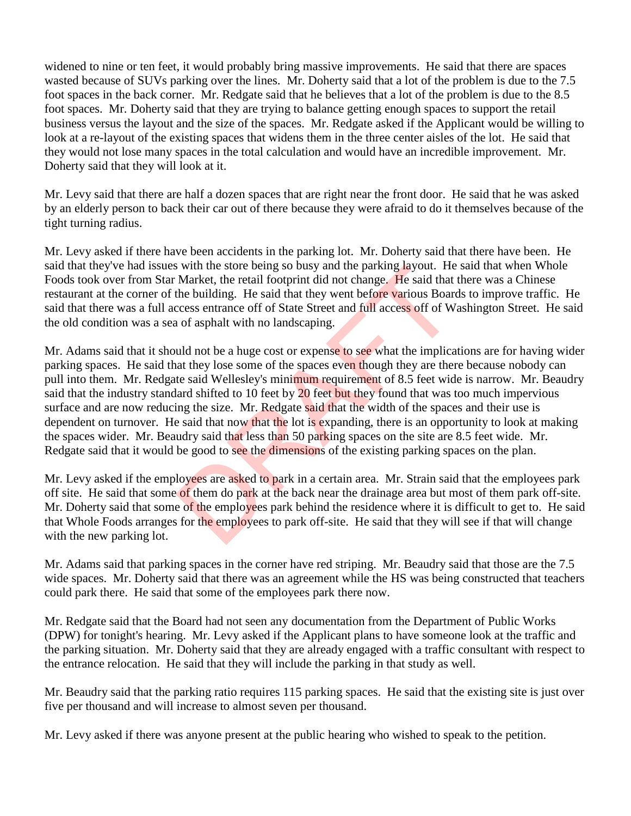widened to nine or ten feet, it would probably bring massive improvements. He said that there are spaces wasted because of SUVs parking over the lines. Mr. Doherty said that a lot of the problem is due to the 7.5 foot spaces in the back corner. Mr. Redgate said that he believes that a lot of the problem is due to the 8.5 foot spaces. Mr. Doherty said that they are trying to balance getting enough spaces to support the retail business versus the layout and the size of the spaces. Mr. Redgate asked if the Applicant would be willing to look at a re-layout of the existing spaces that widens them in the three center aisles of the lot. He said that they would not lose many spaces in the total calculation and would have an incredible improvement. Mr. Doherty said that they will look at it.

Mr. Levy said that there are half a dozen spaces that are right near the front door. He said that he was asked by an elderly person to back their car out of there because they were afraid to do it themselves because of the tight turning radius.

Mr. Levy asked if there have been accidents in the parking lot. Mr. Doherty said that there have been. He said that they've had issues with the store being so busy and the parking layout. He said that when Whole Foods took over from Star Market, the retail footprint did not change. He said that there was a Chinese restaurant at the corner of the building. He said that they went before various Boards to improve traffic. He said that there was a full access entrance off of State Street and full access off of Washington Street. He said the old condition was a sea of asphalt with no landscaping.

Mr. Adams said that it should not be a huge cost or expense to see what the implications are for having wider parking spaces. He said that they lose some of the spaces even though they are there because nobody can pull into them. Mr. Redgate said Wellesley's minimum requirement of 8.5 feet wide is narrow. Mr. Beaudry said that the industry standard shifted to 10 feet by 20 feet but they found that was too much impervious surface and are now reducing the size. Mr. Redgate said that the width of the spaces and their use is dependent on turnover. He said that now that the lot is expanding, there is an opportunity to look at making the spaces wider. Mr. Beaudry said that less than 50 parking spaces on the site are 8.5 feet wide. Mr. Redgate said that it would be good to see the dimensions of the existing parking spaces on the plan. Solution to the entring and the parking and the state of the state of the state the entring. He said that the building. He said that the building. He said that the building. He said that they went before various Boarcess e

Mr. Levy asked if the employees are asked to park in a certain area. Mr. Strain said that the employees park off site. He said that some of them do park at the back near the drainage area but most of them park off-site. Mr. Doherty said that some of the employees park behind the residence where it is difficult to get to. He said that Whole Foods arranges for the employees to park off-site. He said that they will see if that will change with the new parking lot.

Mr. Adams said that parking spaces in the corner have red striping. Mr. Beaudry said that those are the 7.5 wide spaces. Mr. Doherty said that there was an agreement while the HS was being constructed that teachers could park there. He said that some of the employees park there now.

Mr. Redgate said that the Board had not seen any documentation from the Department of Public Works (DPW) for tonight's hearing. Mr. Levy asked if the Applicant plans to have someone look at the traffic and the parking situation. Mr. Doherty said that they are already engaged with a traffic consultant with respect to the entrance relocation. He said that they will include the parking in that study as well.

Mr. Beaudry said that the parking ratio requires 115 parking spaces. He said that the existing site is just over five per thousand and will increase to almost seven per thousand.

Mr. Levy asked if there was anyone present at the public hearing who wished to speak to the petition.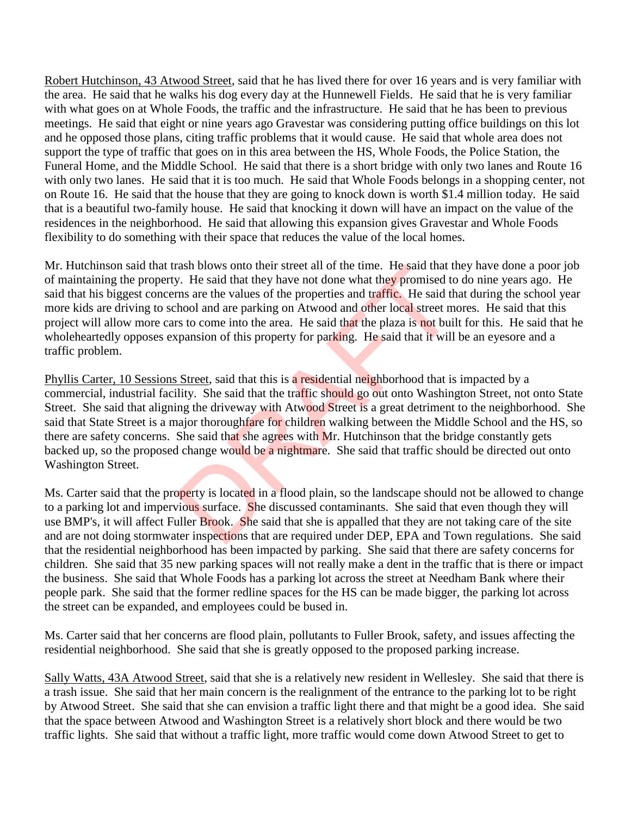Robert Hutchinson, 43 Atwood Street, said that he has lived there for over 16 years and is very familiar with the area. He said that he walks his dog every day at the Hunnewell Fields. He said that he is very familiar with what goes on at Whole Foods, the traffic and the infrastructure. He said that he has been to previous meetings. He said that eight or nine years ago Gravestar was considering putting office buildings on this lot and he opposed those plans, citing traffic problems that it would cause. He said that whole area does not support the type of traffic that goes on in this area between the HS, Whole Foods, the Police Station, the Funeral Home, and the Middle School. He said that there is a short bridge with only two lanes and Route 16 with only two lanes. He said that it is too much. He said that Whole Foods belongs in a shopping center, not on Route 16. He said that the house that they are going to knock down is worth \$1.4 million today. He said that is a beautiful two-family house. He said that knocking it down will have an impact on the value of the residences in the neighborhood. He said that allowing this expansion gives Gravestar and Whole Foods flexibility to do something with their space that reduces the value of the local homes.

Mr. Hutchinson said that trash blows onto their street all of the time. He said that they have done a poor job of maintaining the property. He said that they have not done what they promised to do nine years ago. He said that his biggest concerns are the values of the properties and traffic. He said that during the school year more kids are driving to school and are parking on Atwood and other local street mores. He said that this project will allow more cars to come into the area. He said that the plaza is not built for this. He said that he wholeheartedly opposes expansion of this property for parking. He said that it will be an eyesore and a traffic problem.

Phyllis Carter, 10 Sessions Street, said that this is a residential neighborhood that is impacted by a commercial, industrial facility. She said that the traffic should go out onto Washington Street, not onto State Street. She said that aligning the driveway with Atwood Street is a great detriment to the neighborhood. She said that State Street is a major thoroughfare for children walking between the Middle School and the HS, so there are safety concerns. She said that she agrees with Mr. Hutchinson that the bridge constantly gets backed up, so the proposed change would be a nightmare. She said that traffic should be directed out onto Washington Street. rash blows onto their street all of the time. He said that the<br>y. He said that they have not done what they promised to<br>ms are the values of the properties and traffic. He said th<br>hool and are parking on Atwood and other l

Ms. Carter said that the property is located in a flood plain, so the landscape should not be allowed to change to a parking lot and impervious surface. She discussed contaminants. She said that even though they will use BMP's, it will affect Fuller Brook. She said that she is appalled that they are not taking care of the site and are not doing stormwater inspections that are required under DEP, EPA and Town regulations. She said that the residential neighborhood has been impacted by parking. She said that there are safety concerns for children. She said that 35 new parking spaces will not really make a dent in the traffic that is there or impact the business. She said that Whole Foods has a parking lot across the street at Needham Bank where their people park. She said that the former redline spaces for the HS can be made bigger, the parking lot across the street can be expanded, and employees could be bused in.

Ms. Carter said that her concerns are flood plain, pollutants to Fuller Brook, safety, and issues affecting the residential neighborhood. She said that she is greatly opposed to the proposed parking increase.

Sally Watts, 43A Atwood Street, said that she is a relatively new resident in Wellesley. She said that there is a trash issue. She said that her main concern is the realignment of the entrance to the parking lot to be right by Atwood Street. She said that she can envision a traffic light there and that might be a good idea. She said that the space between Atwood and Washington Street is a relatively short block and there would be two traffic lights. She said that without a traffic light, more traffic would come down Atwood Street to get to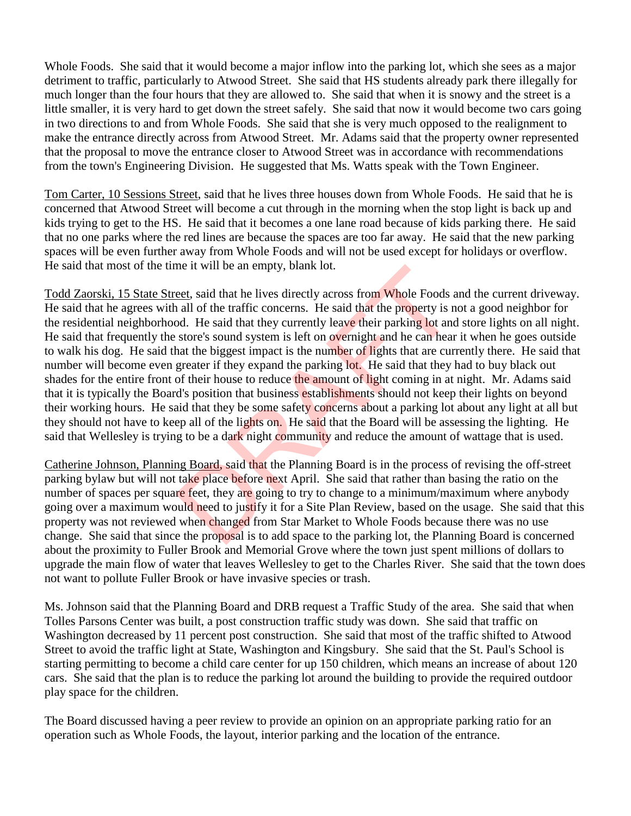Whole Foods. She said that it would become a major inflow into the parking lot, which she sees as a major detriment to traffic, particularly to Atwood Street. She said that HS students already park there illegally for much longer than the four hours that they are allowed to. She said that when it is snowy and the street is a little smaller, it is very hard to get down the street safely. She said that now it would become two cars going in two directions to and from Whole Foods. She said that she is very much opposed to the realignment to make the entrance directly across from Atwood Street. Mr. Adams said that the property owner represented that the proposal to move the entrance closer to Atwood Street was in accordance with recommendations from the town's Engineering Division. He suggested that Ms. Watts speak with the Town Engineer.

Tom Carter, 10 Sessions Street, said that he lives three houses down from Whole Foods. He said that he is concerned that Atwood Street will become a cut through in the morning when the stop light is back up and kids trying to get to the HS. He said that it becomes a one lane road because of kids parking there. He said that no one parks where the red lines are because the spaces are too far away. He said that the new parking spaces will be even further away from Whole Foods and will not be used except for holidays or overflow. He said that most of the time it will be an empty, blank lot.

Todd Zaorski, 15 State Street, said that he lives directly across from Whole Foods and the current driveway. He said that he agrees with all of the traffic concerns. He said that the property is not a good neighbor for the residential neighborhood. He said that they currently leave their parking lot and store lights on all night. He said that frequently the store's sound system is left on overnight and he can hear it when he goes outside to walk his dog. He said that the biggest impact is the number of lights that are currently there. He said that number will become even greater if they expand the parking lot. He said that they had to buy black out shades for the entire front of their house to reduce the amount of light coming in at night. Mr. Adams said that it is typically the Board's position that business establishments should not keep their lights on beyond their working hours. He said that they be some safety concerns about a parking lot about any light at all but they should not have to keep all of the lights on. He said that the Board will be assessing the lighting. He said that Wellesley is trying to be a dark night community and reduce the amount of wattage that is used. me it will be an empty, blank lot.<br>
eet, said that he lives directly across from Whole Foods a<br>
all of the traffic concerns. He said that the property is n<br>
ad. He said that they currently leave their parking lot and<br>
stor

Catherine Johnson, Planning Board, said that the Planning Board is in the process of revising the off-street parking bylaw but will not take place before next April. She said that rather than basing the ratio on the number of spaces per square feet, they are going to try to change to a minimum/maximum where anybody going over a maximum would need to justify it for a Site Plan Review, based on the usage. She said that this property was not reviewed when changed from Star Market to Whole Foods because there was no use change. She said that since the proposal is to add space to the parking lot, the Planning Board is concerned about the proximity to Fuller Brook and Memorial Grove where the town just spent millions of dollars to upgrade the main flow of water that leaves Wellesley to get to the Charles River. She said that the town does not want to pollute Fuller Brook or have invasive species or trash.

Ms. Johnson said that the Planning Board and DRB request a Traffic Study of the area. She said that when Tolles Parsons Center was built, a post construction traffic study was down. She said that traffic on Washington decreased by 11 percent post construction. She said that most of the traffic shifted to Atwood Street to avoid the traffic light at State, Washington and Kingsbury. She said that the St. Paul's School is starting permitting to become a child care center for up 150 children, which means an increase of about 120 cars. She said that the plan is to reduce the parking lot around the building to provide the required outdoor play space for the children.

The Board discussed having a peer review to provide an opinion on an appropriate parking ratio for an operation such as Whole Foods, the layout, interior parking and the location of the entrance.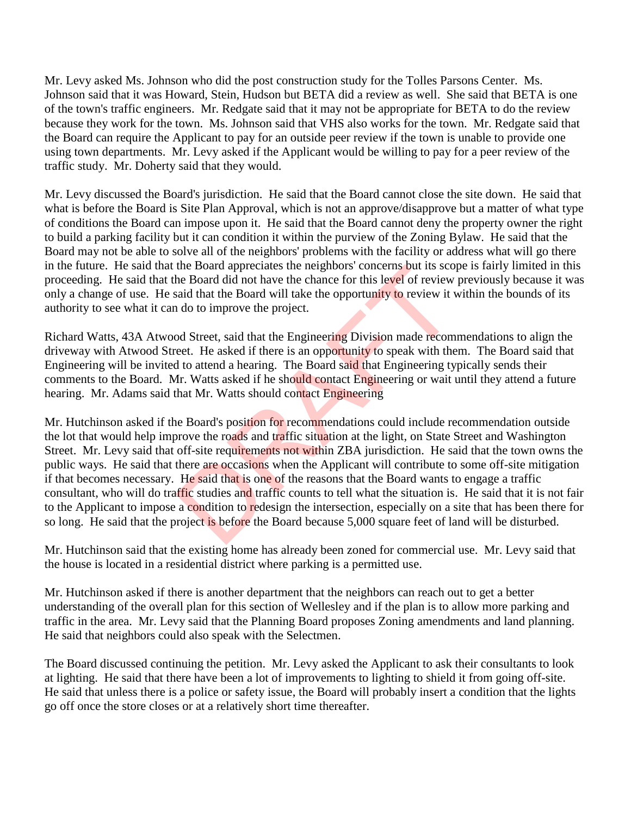Mr. Levy asked Ms. Johnson who did the post construction study for the Tolles Parsons Center. Ms. Johnson said that it was Howard, Stein, Hudson but BETA did a review as well. She said that BETA is one of the town's traffic engineers. Mr. Redgate said that it may not be appropriate for BETA to do the review because they work for the town. Ms. Johnson said that VHS also works for the town. Mr. Redgate said that the Board can require the Applicant to pay for an outside peer review if the town is unable to provide one using town departments. Mr. Levy asked if the Applicant would be willing to pay for a peer review of the traffic study. Mr. Doherty said that they would.

Mr. Levy discussed the Board's jurisdiction. He said that the Board cannot close the site down. He said that what is before the Board is Site Plan Approval, which is not an approve/disapprove but a matter of what type of conditions the Board can impose upon it. He said that the Board cannot deny the property owner the right to build a parking facility but it can condition it within the purview of the Zoning Bylaw. He said that the Board may not be able to solve all of the neighbors' problems with the facility or address what will go there in the future. He said that the Board appreciates the neighbors' concerns but its scope is fairly limited in this proceeding. He said that the Board did not have the chance for this level of review previously because it was only a change of use. He said that the Board will take the opportunity to review it within the bounds of its authority to see what it can do to improve the project.

Richard Watts, 43A Atwood Street, said that the Engineering Division made recommendations to align the driveway with Atwood Street. He asked if there is an opportunity to speak with them. The Board said that Engineering will be invited to attend a hearing. The Board said that Engineering typically sends their comments to the Board. Mr. Watts asked if he should contact Engineering or wait until they attend a future hearing. Mr. Adams said that Mr. Watts should contact Engineering

Mr. Hutchinson asked if the Board's position for recommendations could include recommendation outside the lot that would help improve the roads and traffic situation at the light, on State Street and Washington Street. Mr. Levy said that off-site requirements not within ZBA jurisdiction. He said that the town owns the public ways. He said that there are occasions when the Applicant will contribute to some off-site mitigation if that becomes necessary. He said that is one of the reasons that the Board wants to engage a traffic consultant, who will do traffic studies and traffic counts to tell what the situation is. He said that it is not fair to the Applicant to impose a condition to redesign the intersection, especially on a site that has been there for so long. He said that the project is before the Board because 5,000 square feet of land will be disturbed. the Board appreciates the neighbors' concerns but its scole<br>the Board did not have the chance for this level of review<br>aid that the Board will take the opportunity to review it v<br>do to improve the project.<br>Dol Street, said

Mr. Hutchinson said that the existing home has already been zoned for commercial use. Mr. Levy said that the house is located in a residential district where parking is a permitted use.

Mr. Hutchinson asked if there is another department that the neighbors can reach out to get a better understanding of the overall plan for this section of Wellesley and if the plan is to allow more parking and traffic in the area. Mr. Levy said that the Planning Board proposes Zoning amendments and land planning. He said that neighbors could also speak with the Selectmen.

The Board discussed continuing the petition. Mr. Levy asked the Applicant to ask their consultants to look at lighting. He said that there have been a lot of improvements to lighting to shield it from going off-site. He said that unless there is a police or safety issue, the Board will probably insert a condition that the lights go off once the store closes or at a relatively short time thereafter.